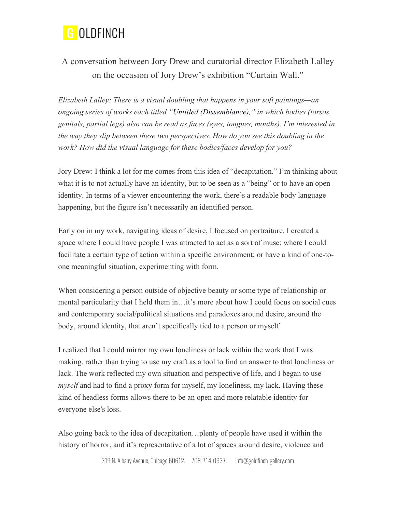

## A conversation between Jory Drew and curatorial director Elizabeth Lalley on the occasion of Jory Drew's exhibition "Curtain Wall."

*Elizabeth Lalley: There is a visual doubling that happens in your soft paintings—an ongoing series of works each titled "Untitled (Dissemblance)," in which bodies (torsos, genitals, partial legs) also can be read as faces (eyes, tongues, mouths). I'm interested in the way they slip between these two perspectives. How do you see this doubling in the work? How did the visual language for these bodies/faces develop for you?* 

Jory Drew: I think a lot for me comes from this idea of "decapitation." I'm thinking about what it is to not actually have an identity, but to be seen as a "being" or to have an open identity. In terms of a viewer encountering the work, there's a readable body language happening, but the figure isn't necessarily an identified person.

Early on in my work, navigating ideas of desire, I focused on portraiture. I created a space where I could have people I was attracted to act as a sort of muse; where I could facilitate a certain type of action within a specific environment; or have a kind of one-toone meaningful situation, experimenting with form.

When considering a person outside of objective beauty or some type of relationship or mental particularity that I held them in…it's more about how I could focus on social cues and contemporary social/political situations and paradoxes around desire, around the body, around identity, that aren't specifically tied to a person or myself.

I realized that I could mirror my own loneliness or lack within the work that I was making, rather than trying to use my craft as a tool to find an answer to that loneliness or lack. The work reflected my own situation and perspective of life, and I began to use *myself* and had to find a proxy form for myself, my loneliness, my lack. Having these kind of headless forms allows there to be an open and more relatable identity for everyone else's loss.

Also going back to the idea of decapitation…plenty of people have used it within the history of horror, and it's representative of a lot of spaces around desire, violence and

319 N. Albany Avenue, Chicago 60612. 708-714-0937. info@goldfinch-gallery.com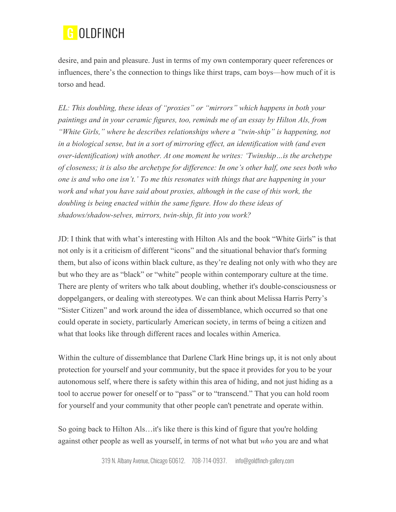

desire, and pain and pleasure. Just in terms of my own contemporary queer references or influences, there's the connection to things like thirst traps, cam boys—how much of it is torso and head.

*EL: This doubling, these ideas of "proxies" or "mirrors" which happens in both your paintings and in your ceramic figures, too, reminds me of an essay by Hilton Als, from "White Girls," where he describes relationships where a "twin-ship" is happening, not in a biological sense, but in a sort of mirroring effect, an identification with (and even over-identification) with another. At one moment he writes: 'Twinship…is the archetype of closeness; it is also the archetype for difference: In one's other half, one sees both who one is and who one isn't.' To me this resonates with things that are happening in your work and what you have said about proxies, although in the case of this work, the doubling is being enacted within the same figure. How do these ideas of shadows/shadow-selves, mirrors, twin-ship, fit into you work?*

JD: I think that with what's interesting with Hilton Als and the book "White Girls" is that not only is it a criticism of different "icons" and the situational behavior that's forming them, but also of icons within black culture, as they're dealing not only with who they are but who they are as "black" or "white" people within contemporary culture at the time. There are plenty of writers who talk about doubling, whether it's double-consciousness or doppelgangers, or dealing with stereotypes. We can think about Melissa Harris Perry's "Sister Citizen" and work around the idea of dissemblance, which occurred so that one could operate in society, particularly American society, in terms of being a citizen and what that looks like through different races and locales within America.

Within the culture of dissemblance that Darlene Clark Hine brings up, it is not only about protection for yourself and your community, but the space it provides for you to be your autonomous self, where there is safety within this area of hiding, and not just hiding as a tool to accrue power for oneself or to "pass" or to "transcend." That you can hold room for yourself and your community that other people can't penetrate and operate within.

So going back to Hilton Als…it's like there is this kind of figure that you're holding against other people as well as yourself, in terms of not what but *who* you are and what

319 N. Albany Avenue, Chicago 60612. 708-714-0937. info@goldfinch-gallery.com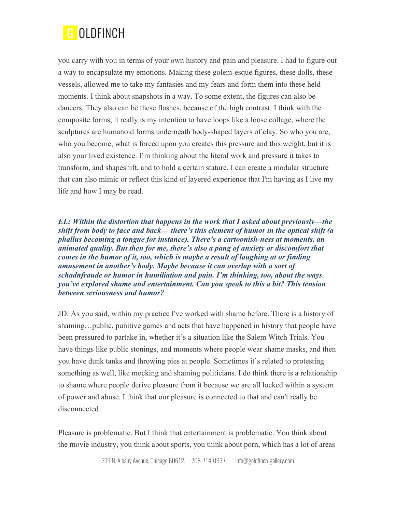

you carry with you in terms of your own history and pain and pleasure. I had to figure out a way to encapsulate my emotions. Making these golem-esque figures, these dolls, these vessels, allowed me to take my fantasies and my fears and form them into these held moments. I think about snapshots in a way. To some extent, the figures can also be dancers. They also can be these flashes, because of the high contrast. I think with the composite forms, it really is my intention to have loops like a loose collage, where the sculptures are humanoid forms underneath body-shaped layers of clay. So who you are, who you become, what is forced upon you creates this pressure and this weight, but it is also your lived existence. I'm thinking about the literal work and pressure it takes to transform, and shapeshift, and to hold a certain stature. I can create a modular structure that can also mimic or reflect this kind of layered experience that I'm having as I live my life and how I may be read.

*EL: Within the distortion that happens in the work that I asked about previously—the shift from body to face and back— there's this element of humor in the optical shift (a phallus becoming a tongue for instance). There's a cartoonish-ness at moments, an animated quality. But then for me, there's also a pang of anxiety or discomfort that comes in the humor of it, too, which is maybe a result of laughing at or finding amusement in another's body. Maybe because it can overlap with a sort of schadnfraude or humor in humiliation and pain. I'm thinking, too, about the ways you've explored shame and entertainment. Can you speak to this a bit? This tension between seriousness and humor?* 

JD: As you said, within my practice I've worked with shame before. There is a history of shaming…public, punitive games and acts that have happened in history that people have been pressured to partake in, whether it's a situation like the Salem Witch Trials. You have things like public stonings, and moments where people wear shame masks, and then you have dunk tanks and throwing pies at people. Sometimes it's related to protesting something as well, like mocking and shaming politicians. I do think there is a relationship to shame where people derive pleasure from it because we are all locked within a system of power and abuse. I think that our pleasure is connected to that and can't really be disconnected.

Pleasure is problematic. But I think that entertainment is problematic. You think about the movie industry, you think about sports, you think about porn, which has a lot of areas

319 N. Albany Avenue, Chicago 60612. 708-714-0937. info@goldfinch-gallery.com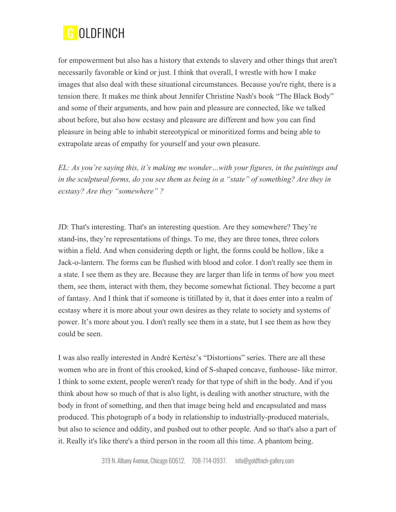

for empowerment but also has a history that extends to slavery and other things that aren't necessarily favorable or kind or just. I think that overall, I wrestle with how I make images that also deal with these situational circumstances. Because you're right, there is a tension there. It makes me think about Jennifer Christine Nash's book "The Black Body" and some of their arguments, and how pain and pleasure are connected, like we talked about before, but also how ecstasy and pleasure are different and how you can find pleasure in being able to inhabit stereotypical or minoritized forms and being able to extrapolate areas of empathy for yourself and your own pleasure.

*EL: As you're saying this, it's making me wonder…with your figures, in the paintings and in the sculptural forms, do you see them as being in a "state" of something? Are they in ecstasy? Are they "somewhere" ?*

JD: That's interesting. That's an interesting question. Are they somewhere? They're stand-ins, they're representations of things. To me, they are three tones, three colors within a field. And when considering depth or light, the forms could be hollow, like a Jack-o-lantern. The forms can be flushed with blood and color. I don't really see them in a state. I see them as they are. Because they are larger than life in terms of how you meet them, see them, interact with them, they become somewhat fictional. They become a part of fantasy. And I think that if someone is titillated by it, that it does enter into a realm of ecstasy where it is more about your own desires as they relate to society and systems of power. It's more about you. I don't really see them in a state, but I see them as how they could be seen.

I was also really interested in André Kertész's "Distortions" series. There are all these women who are in front of this crooked, kind of S-shaped concave, funhouse- like mirror. I think to some extent, people weren't ready for that type of shift in the body. And if you think about how so much of that is also light, is dealing with another structure, with the body in front of something, and then that image being held and encapsulated and mass produced. This photograph of a body in relationship to industrially-produced materials, but also to science and oddity, and pushed out to other people. And so that's also a part of it. Really it's like there's a third person in the room all this time. A phantom being.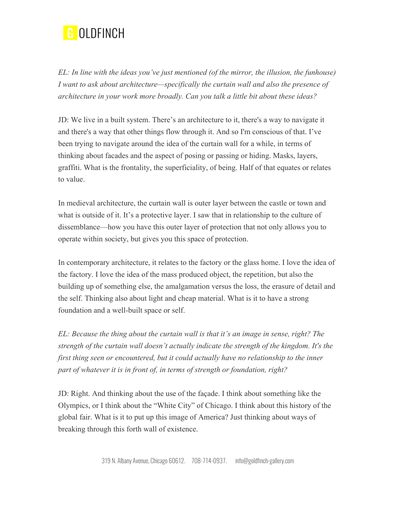

*EL: In line with the ideas you've just mentioned (of the mirror, the illusion, the funhouse) I want to ask about architecture—specifically the curtain wall and also the presence of architecture in your work more broadly. Can you talk a little bit about these ideas?* 

JD: We live in a built system. There's an architecture to it, there's a way to navigate it and there's a way that other things flow through it. And so I'm conscious of that. I've been trying to navigate around the idea of the curtain wall for a while, in terms of thinking about facades and the aspect of posing or passing or hiding. Masks, layers, graffiti. What is the frontality, the superficiality, of being. Half of that equates or relates to value.

In medieval architecture, the curtain wall is outer layer between the castle or town and what is outside of it. It's a protective layer. I saw that in relationship to the culture of dissemblance—how you have this outer layer of protection that not only allows you to operate within society, but gives you this space of protection.

In contemporary architecture, it relates to the factory or the glass home. I love the idea of the factory. I love the idea of the mass produced object, the repetition, but also the building up of something else, the amalgamation versus the loss, the erasure of detail and the self. Thinking also about light and cheap material. What is it to have a strong foundation and a well-built space or self.

*EL: Because the thing about the curtain wall is that it's an image in sense, right? The strength of the curtain wall doesn't actually indicate the strength of the kingdom. It's the first thing seen or encountered, but it could actually have no relationship to the inner part of whatever it is in front of, in terms of strength or foundation, right?* 

JD: Right. And thinking about the use of the façade. I think about something like the Olympics, or I think about the "White City" of Chicago. I think about this history of the global fair. What is it to put up this image of America? Just thinking about ways of breaking through this forth wall of existence.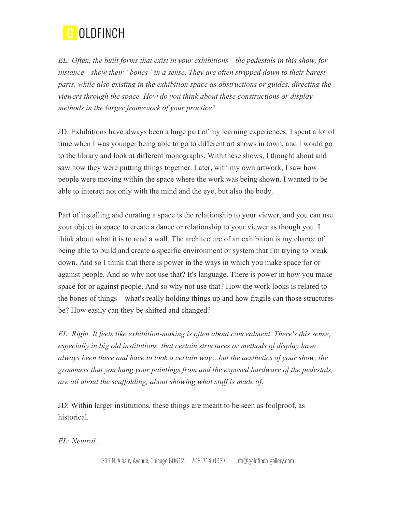

*EL: Often, the built forms that exist in your exhibitions—the pedestals in this show, for instance—show their "bones" in a sense. They are often stripped down to their barest parts, while also existing in the exhibition space as obstructions or guides, directing the viewers through the space. How do you think about these constructions or display methods in the larger framework of your practice?*

JD: Exhibitions have always been a huge part of my learning experiences. I spent a lot of time when I was younger being able to go to different art shows in town, and I would go to the library and look at different monographs. With these shows, I thought about and saw how they were putting things together. Later, with my own artwork, I saw how people were moving within the space where the work was being shown. I wanted to be able to interact not only with the mind and the eye, but also the body.

Part of installing and curating a space is the relationship to your viewer, and you can use your object in space to create a dance or relationship to your viewer as though you. I think about what it is to read a wall. The architecture of an exhibition is my chance of being able to build and create a specific environment or system that I'm trying to break down. And so I think that there is power in the ways in which you make space for or against people. And so why not use that? It's language. There is power in how you make space for or against people. And so why not use that? How the work looks is related to the bones of things—what's really holding things up and how fragile can those structures be? How easily can they be shifted and changed?

*EL*: Right. It feels like exhibition-making is often about concealment. There's this sense, *especially in big old institutions, that certain structures or methods of display have always been there and have to look a certain way…but the aesthetics of your show, the grommets that you hang your paintings from and the exposed hardware of the pedestals, are all about the scaffolding, about showing what stuff is made of.*

JD: Within larger institutions, these things are meant to be seen as foolproof, as historical*.* 

*EL: Neutral…*